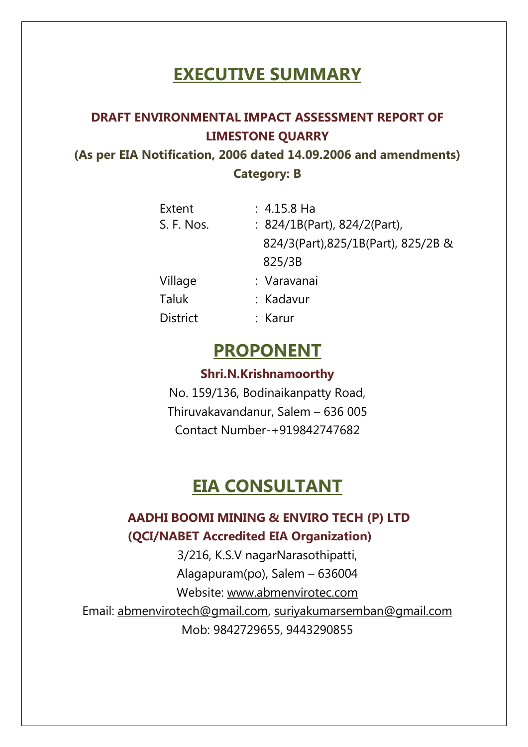# **EXECUTIVE SUMMARY**

# **DRAFT ENVIRONMENTAL IMPACT ASSESSMENT REPORT OF LIMESTONE QUARRY**

**(As per EIA Notification, 2006 dated 14.09.2006 and amendments) Category: B** 

| Extent          | $: 4.15.8$ Ha                       |
|-----------------|-------------------------------------|
| S. F. Nos.      | : 824/1B(Part), 824/2(Part),        |
|                 | 824/3(Part), 825/1B(Part), 825/2B & |
|                 | 825/3B                              |
| Village         | : Varavanai                         |
| <b>Taluk</b>    | : Kadavur                           |
| <b>District</b> | : Karur                             |

# **PROPONENT**

# **Shri.N.Krishnamoorthy**

No. 159/136, Bodinaikanpatty Road, Thiruvakavandanur, Salem – 636 005 Contact Number-+919842747682

# **EIA CONSULTANT**

# **AADHI BOOMI MINING & ENVIRO TECH (P) LTD (QCI/NABET Accredited EIA Organization)**

3/216, K.S.V nagarNarasothipatti, Alagapuram(po), Salem – 636004 Website: [www.abmenvirotec.com](http://www.abmenvirotec.com/) Email: [abmenvirotech@gmail.com,](mailto:abmenvirotech@gmail.com) [suriyakumarsemban@gmail.com](mailto:suriyakumarsemban@gmail.com) Mob: 9842729655, 9443290855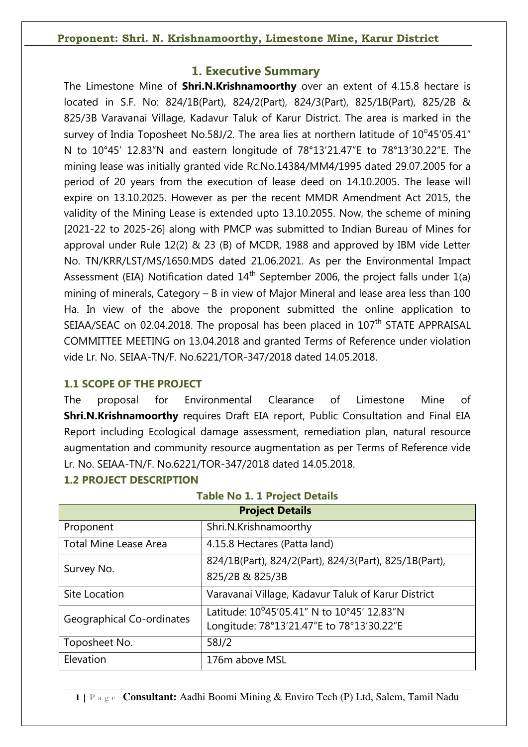# **1. Executive Summary**

The Limestone Mine of **Shri.N.Krishnamoorthy** over an extent of 4.15.8 hectare is located in S.F. No: 824/1B(Part), 824/2(Part), 824/3(Part), 825/1B(Part), 825/2B & 825/3B Varavanai Village, Kadavur Taluk of Karur District. The area is marked in the survey of India Toposheet No.58J/2. The area lies at northern latitude of  $10^{\circ}45'05.41''$ N to 10°45' 12.83"N and eastern longitude of 78°13'21.47"E to 78°13'30.22"E. The mining lease was initially granted vide Rc.No.14384/MM4/1995 dated 29.07.2005 for a period of 20 years from the execution of lease deed on 14.10.2005. The lease will expire on 13.10.2025. However as per the recent MMDR Amendment Act 2015, the validity of the Mining Lease is extended upto 13.10.2055. Now, the scheme of mining [2021-22 to 2025-26] along with PMCP was submitted to Indian Bureau of Mines for approval under Rule 12(2) & 23 (B) of MCDR, 1988 and approved by IBM vide Letter No. TN/KRR/LST/MS/1650.MDS dated 21.06.2021. As per the Environmental Impact Assessment (EIA) Notification dated  $14<sup>th</sup>$  September 2006, the project falls under  $1(a)$ mining of minerals, Category – B in view of Major Mineral and lease area less than 100 Ha. In view of the above the proponent submitted the online application to SEIAA/SEAC on 02.04.2018. The proposal has been placed in  $107<sup>th</sup>$  STATE APPRAISAL COMMITTEE MEETING on 13.04.2018 and granted Terms of Reference under violation vide Lr. No. SEIAA-TN/F. No.6221/TOR-347/2018 dated 14.05.2018.

# **1.1 SCOPE OF THE PROJECT**

**1.2 PROJECT DESCRIPTION** 

The proposal for Environmental Clearance of Limestone Mine of **Shri.N.Krishnamoorthy** requires Draft EIA report, Public Consultation and Final EIA Report including Ecological damage assessment, remediation plan, natural resource augmentation and community resource augmentation as per Terms of Reference vide Lr. No. SEIAA-TN/F. No.6221/TOR-347/2018 dated 14.05.2018.

| $\frac{1}{2}$                                                       |                                                       |  |  |  |
|---------------------------------------------------------------------|-------------------------------------------------------|--|--|--|
|                                                                     | <b>Project Details</b>                                |  |  |  |
| Shri.N.Krishnamoorthy<br>Proponent                                  |                                                       |  |  |  |
| <b>Total Mine Lease Area</b>                                        | 4.15.8 Hectares (Patta land)                          |  |  |  |
| Survey No.                                                          | 824/1B(Part), 824/2(Part), 824/3(Part), 825/1B(Part), |  |  |  |
|                                                                     | 825/2B & 825/3B                                       |  |  |  |
| Varavanai Village, Kadavur Taluk of Karur District<br>Site Location |                                                       |  |  |  |
| Geographical Co-ordinates                                           | Latitude: 10°45'05.41" N to 10°45' 12.83"N            |  |  |  |
|                                                                     | Longitude: 78°13'21.47"E to 78°13'30.22"E             |  |  |  |
| Toposheet No.                                                       | 58J/2                                                 |  |  |  |
| Elevation                                                           | 176m above MSL                                        |  |  |  |

# **Table No 1. 1 Project Details**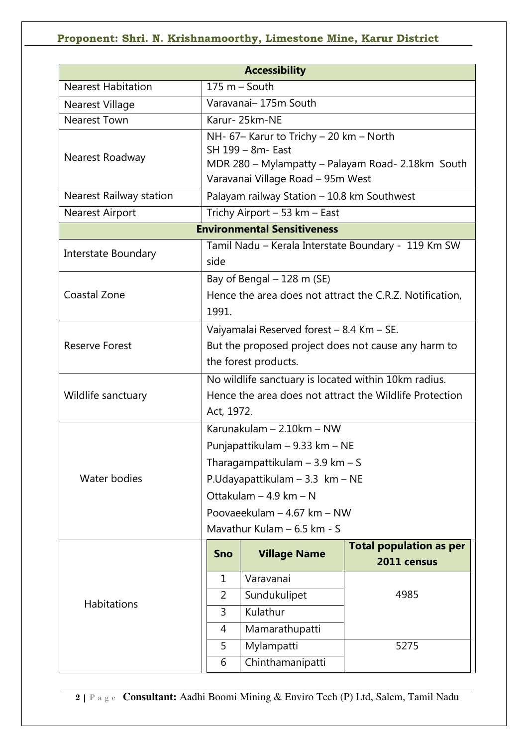| <b>Accessibility</b>           |            |                                                         |                                                          |  |  |
|--------------------------------|------------|---------------------------------------------------------|----------------------------------------------------------|--|--|
| <b>Nearest Habitation</b>      |            | $175 m - South$                                         |                                                          |  |  |
| Nearest Village                |            | Varavanai- 175m South                                   |                                                          |  |  |
| <b>Nearest Town</b>            |            | Karur-25km-NE                                           |                                                          |  |  |
|                                |            | NH- 67- Karur to Trichy - 20 km - North                 |                                                          |  |  |
| Nearest Roadway                |            | SH 199 - 8m- East                                       |                                                          |  |  |
|                                |            | MDR 280 - Mylampatty - Palayam Road- 2.18km South       |                                                          |  |  |
|                                |            | Varavanai Village Road - 95m West                       |                                                          |  |  |
| <b>Nearest Railway station</b> |            | Palayam railway Station - 10.8 km Southwest             |                                                          |  |  |
| <b>Nearest Airport</b>         |            | Trichy Airport - 53 km - East                           |                                                          |  |  |
|                                |            | <b>Environmental Sensitiveness</b>                      |                                                          |  |  |
| Interstate Boundary            |            |                                                         | Tamil Nadu - Kerala Interstate Boundary - 119 Km SW      |  |  |
|                                | side       |                                                         |                                                          |  |  |
|                                |            | Bay of Bengal - 128 m (SE)                              |                                                          |  |  |
| Coastal Zone                   |            |                                                         | Hence the area does not attract the C.R.Z. Notification, |  |  |
|                                | 1991.      |                                                         |                                                          |  |  |
|                                |            | Vaiyamalai Reserved forest - 8.4 Km - SE.               |                                                          |  |  |
| <b>Reserve Forest</b>          |            | But the proposed project does not cause any harm to     |                                                          |  |  |
|                                |            | the forest products.                                    |                                                          |  |  |
|                                |            | No wildlife sanctuary is located within 10km radius.    |                                                          |  |  |
| Wildlife sanctuary             |            | Hence the area does not attract the Wildlife Protection |                                                          |  |  |
|                                |            | Act, 1972.                                              |                                                          |  |  |
|                                |            | Karunakulam - 2.10km - NW                               |                                                          |  |  |
|                                |            | Punjapattikulam – 9.33 km – NE                          |                                                          |  |  |
|                                |            | Tharagampattikulam $-3.9$ km $-$ S                      |                                                          |  |  |
| Water bodies                   |            | P.Udayapattikulam - 3.3 km - NE                         |                                                          |  |  |
|                                |            | Ottakulam - 4.9 km - N                                  |                                                          |  |  |
|                                |            | Poovaeekulam - 4.67 km - NW                             |                                                          |  |  |
|                                |            | Mavathur Kulam - 6.5 km - S                             |                                                          |  |  |
|                                |            |                                                         | <b>Total population as per</b>                           |  |  |
|                                | <b>Sno</b> | <b>Village Name</b>                                     | 2011 census                                              |  |  |
|                                | 1          | Varavanai                                               |                                                          |  |  |
| <b>Habitations</b>             | 2          | Sundukulipet                                            | 4985                                                     |  |  |
|                                | 3          | Kulathur                                                |                                                          |  |  |
|                                | 4          | Mamarathupatti                                          |                                                          |  |  |
|                                | 5          | Mylampatti                                              | 5275                                                     |  |  |
|                                | 6          | Chinthamanipatti                                        |                                                          |  |  |
|                                |            |                                                         |                                                          |  |  |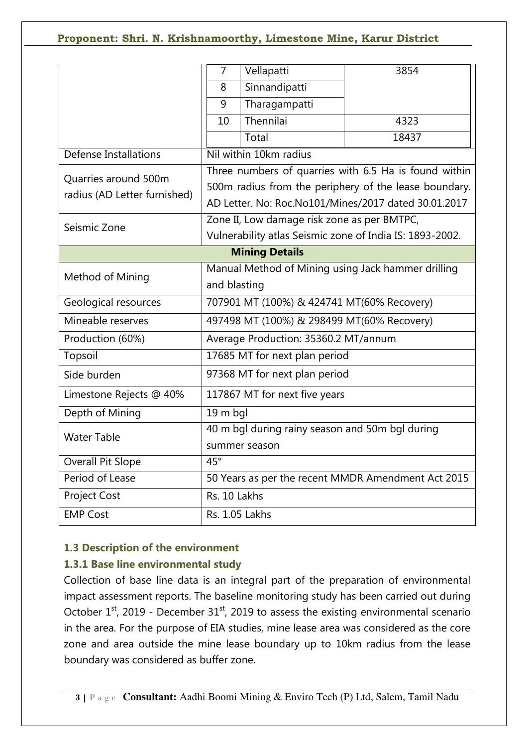|                              | Vellapatti<br>7                                    | 3854                                                     |  |
|------------------------------|----------------------------------------------------|----------------------------------------------------------|--|
|                              | Sinnandipatti<br>8                                 |                                                          |  |
|                              | Tharagampatti<br>9                                 |                                                          |  |
|                              | Thennilai<br>10                                    | 4323                                                     |  |
|                              | Total                                              | 18437                                                    |  |
| <b>Defense Installations</b> | Nil within 10km radius                             |                                                          |  |
| Quarries around 500m         |                                                    | Three numbers of quarries with 6.5 Ha is found within    |  |
|                              |                                                    | 500m radius from the periphery of the lease boundary.    |  |
| radius (AD Letter furnished) |                                                    | AD Letter. No: Roc.No101/Mines/2017 dated 30.01.2017     |  |
| Seismic Zone                 |                                                    | Zone II, Low damage risk zone as per BMTPC,              |  |
|                              |                                                    | Vulnerability atlas Seismic zone of India IS: 1893-2002. |  |
|                              | <b>Mining Details</b>                              |                                                          |  |
| Method of Mining             | Manual Method of Mining using Jack hammer drilling |                                                          |  |
|                              | and blasting                                       |                                                          |  |
| Geological resources         | 707901 MT (100%) & 424741 MT(60% Recovery)         |                                                          |  |
| Mineable reserves            | 497498 MT (100%) & 298499 MT(60% Recovery)         |                                                          |  |
| Production (60%)             | Average Production: 35360.2 MT/annum               |                                                          |  |
| Topsoil                      | 17685 MT for next plan period                      |                                                          |  |
| Side burden                  | 97368 MT for next plan period                      |                                                          |  |
| Limestone Rejects @ 40%      | 117867 MT for next five years                      |                                                          |  |
| Depth of Mining              | 19 m bql                                           |                                                          |  |
| <b>Water Table</b>           | 40 m bgl during rainy season and 50m bgl during    |                                                          |  |
|                              | summer season                                      |                                                          |  |
| <b>Overall Pit Slope</b>     | $45^{\circ}$                                       |                                                          |  |
| Period of Lease              | 50 Years as per the recent MMDR Amendment Act 2015 |                                                          |  |
| <b>Project Cost</b>          | Rs. 10 Lakhs                                       |                                                          |  |
| <b>EMP Cost</b>              | Rs. 1.05 Lakhs                                     |                                                          |  |

# **1.3 Description of the environment**

# **1.3.1 Base line environmental study**

Collection of base line data is an integral part of the preparation of environmental impact assessment reports. The baseline monitoring study has been carried out during October  $1<sup>st</sup>$ , 2019 - December  $31<sup>st</sup>$ , 2019 to assess the existing environmental scenario in the area. For the purpose of EIA studies, mine lease area was considered as the core zone and area outside the mine lease boundary up to 10km radius from the lease boundary was considered as buffer zone.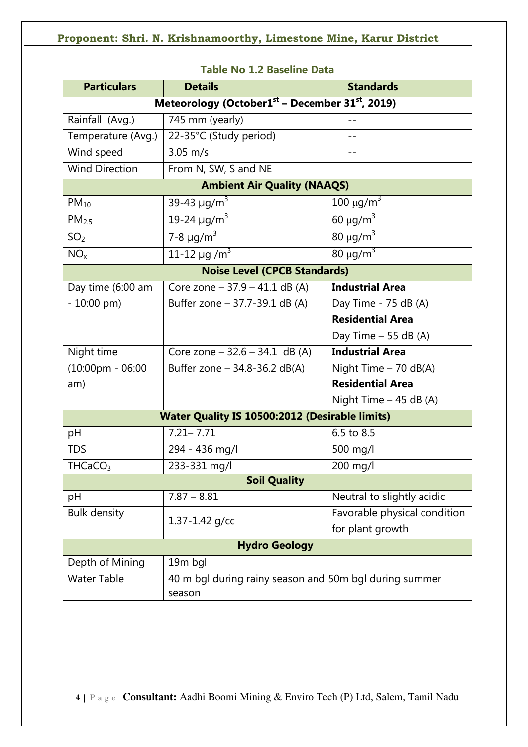| <b>Particulars</b>                                    | <b>Details</b>                                                          | <b>Standards</b>                 |  |  |
|-------------------------------------------------------|-------------------------------------------------------------------------|----------------------------------|--|--|
|                                                       | Meteorology (October1 <sup>st</sup> – December 31 <sup>st</sup> , 2019) |                                  |  |  |
| Rainfall (Avg.)                                       | 745 mm (yearly)                                                         |                                  |  |  |
| Temperature (Avg.)                                    | 22-35°C (Study period)                                                  |                                  |  |  |
| Wind speed                                            | $3.05 \, \text{m/s}$                                                    | $-1$                             |  |  |
| <b>Wind Direction</b>                                 | From N, SW, S and NE                                                    |                                  |  |  |
|                                                       | <b>Ambient Air Quality (NAAQS)</b>                                      |                                  |  |  |
| $PM_{10}$                                             | 39-43 $\mu$ g/m <sup>3</sup>                                            | $100 \mu g/m3$                   |  |  |
| PM <sub>2.5</sub>                                     | 19-24 $\mu$ g/m <sup>3</sup>                                            | 60 $\mu$ g/m <sup>3</sup>        |  |  |
| SO <sub>2</sub>                                       | 7-8 $\mu$ g/m <sup>3</sup>                                              | $80 \mu g/m3$                    |  |  |
| NO <sub>x</sub>                                       | 11-12 $\mu$ g /m <sup>3</sup>                                           | $\frac{1}{80}$ µg/m <sup>3</sup> |  |  |
|                                                       | <b>Noise Level (CPCB Standards)</b>                                     |                                  |  |  |
| Day time (6:00 am                                     | Core zone - 37.9 - 41.1 dB (A)                                          | <b>Industrial Area</b>           |  |  |
| $-10:00$ pm)                                          | Buffer zone - 37.7-39.1 dB (A)                                          | Day Time - 75 dB (A)             |  |  |
|                                                       |                                                                         | <b>Residential Area</b>          |  |  |
|                                                       |                                                                         | Day Time $-55$ dB (A)            |  |  |
| Night time                                            | Core zone $-32.6 - 34.1$ dB (A)                                         | <b>Industrial Area</b>           |  |  |
| $(10:00 \text{pm} - 06:00)$                           | Buffer zone $-$ 34.8-36.2 dB(A)                                         | Night Time - 70 dB(A)            |  |  |
| am)                                                   |                                                                         | <b>Residential Area</b>          |  |  |
|                                                       |                                                                         | Night Time $-45$ dB (A)          |  |  |
| <b>Water Quality IS 10500:2012 (Desirable limits)</b> |                                                                         |                                  |  |  |
| pH                                                    | $7.21 - 7.71$                                                           | 6.5 to 8.5                       |  |  |
| <b>TDS</b>                                            | 294 - 436 mg/l                                                          | 500 mg/l                         |  |  |
| THCaCO <sub>3</sub>                                   | 233-331 mg/l                                                            | 200 mg/l                         |  |  |
| <b>Soil Quality</b>                                   |                                                                         |                                  |  |  |
| pH                                                    | $7.87 - 8.81$                                                           | Neutral to slightly acidic       |  |  |
| <b>Bulk density</b>                                   | $1.37 - 1.42$ g/cc                                                      | Favorable physical condition     |  |  |
|                                                       |                                                                         | for plant growth                 |  |  |
| <b>Hydro Geology</b>                                  |                                                                         |                                  |  |  |
| Depth of Mining                                       | 19m bgl                                                                 |                                  |  |  |
| <b>Water Table</b>                                    | 40 m bgl during rainy season and 50m bgl during summer                  |                                  |  |  |
|                                                       | season                                                                  |                                  |  |  |

## **Table No 1.2 Baseline Data**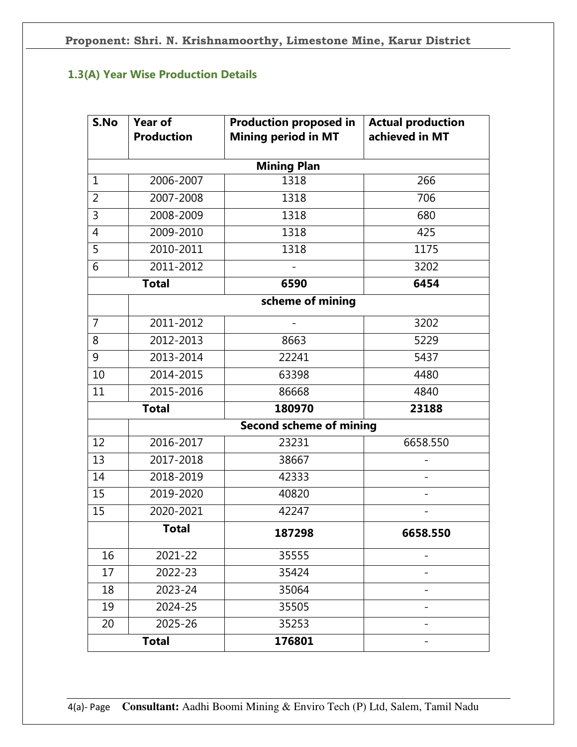# **1.3(A) Year Wise Production Details**

| S.No           | Year of           | <b>Production proposed in</b>  | <b>Actual production</b> |
|----------------|-------------------|--------------------------------|--------------------------|
|                | <b>Production</b> | <b>Mining period in MT</b>     | achieved in MT           |
|                |                   | <b>Mining Plan</b>             |                          |
| $\mathbf{1}$   | 2006-2007         | 1318                           | 266                      |
| 2              | 2007-2008         | 1318                           | 706                      |
| 3              | 2008-2009         | 1318                           | 680                      |
| 4              | 2009-2010         | 1318                           | 425                      |
| 5              | 2010-2011         | 1318                           | 1175                     |
| 6              | 2011-2012         |                                | 3202                     |
|                | <b>Total</b>      | 6590                           | 6454                     |
|                |                   | scheme of mining               |                          |
| $\overline{7}$ | 2011-2012         |                                | 3202                     |
| 8              | 2012-2013         | 8663                           | 5229                     |
| 9              | 2013-2014         | 22241                          | 5437                     |
| 10             | 2014-2015         | 63398                          | 4480                     |
| 11             | 2015-2016         | 86668                          | 4840                     |
|                | <b>Total</b>      | 180970                         | 23188                    |
|                |                   | <b>Second scheme of mining</b> |                          |
| 12             | 2016-2017         | 23231                          | 6658.550                 |
| 13             | 2017-2018         | 38667                          |                          |
| 14             | 2018-2019         | 42333                          |                          |
| 15             | 2019-2020         | 40820                          |                          |
| 15             | 2020-2021         | 42247                          |                          |
|                | <b>Total</b>      | 187298                         | 6658.550                 |
| 16             | 2021-22           | 35555                          |                          |
| 17             | 2022-23           | 35424                          |                          |
| 18             | 2023-24           | 35064                          |                          |
| 19             | 2024-25           | 35505                          |                          |
| 20             | 2025-26           | 35253                          |                          |
|                | <b>Total</b>      | 176801                         |                          |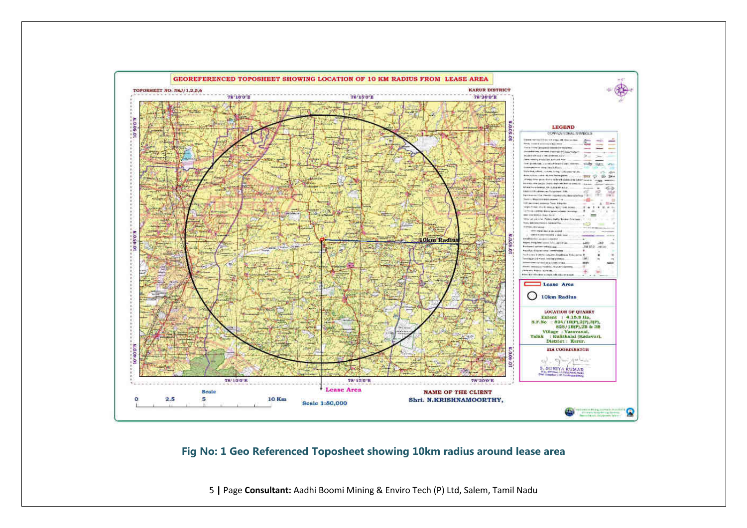

**Fig No: 1 Geo Referenced Toposheet showing 10km radius around lease area**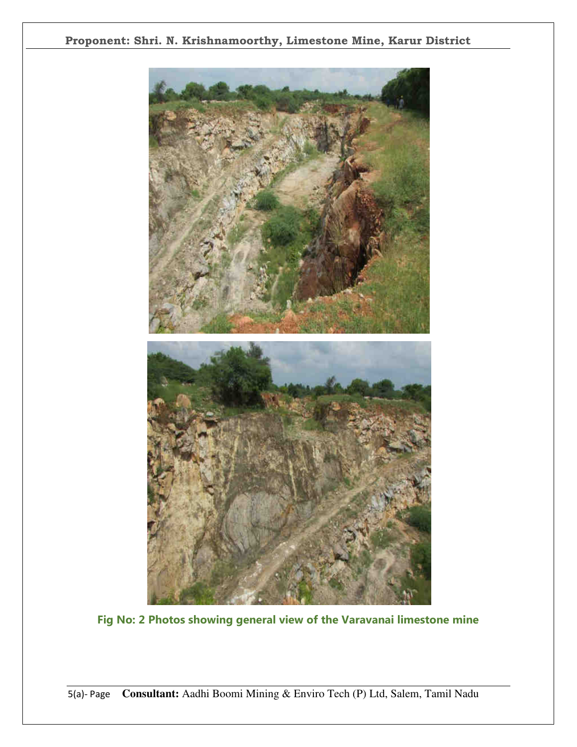

**Fig No: 2 Photos showing general view of the Varavanai limestone mine**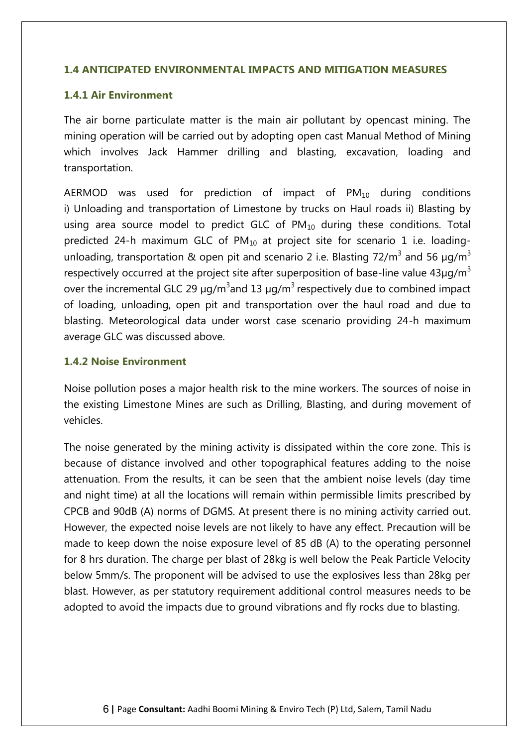#### **1.4 ANTICIPATED ENVIRONMENTAL IMPACTS AND MITIGATION MEASURES**

#### **1.4.1 Air Environment**

The air borne particulate matter is the main air pollutant by opencast mining. The mining operation will be carried out by adopting open cast Manual Method of Mining which involves Jack Hammer drilling and blasting, excavation, loading and transportation.

AERMOD was used for prediction of impact of  $PM_{10}$  during conditions i) Unloading and transportation of Limestone by trucks on Haul roads ii) Blasting by using area source model to predict GLC of  $PM_{10}$  during these conditions. Total predicted 24-h maximum GLC of  $PM_{10}$  at project site for scenario 1 i.e. loadingunloading, transportation & open pit and scenario 2 i.e. Blasting 72/m<sup>3</sup> and 56  $\mu$ g/m<sup>3</sup> respectively occurred at the project site after superposition of base-line value  $43\mu q/m^3$ over the incremental GLC 29  $\mu$ g/m<sup>3</sup> and 13  $\mu$ g/m<sup>3</sup> respectively due to combined impact of loading, unloading, open pit and transportation over the haul road and due to blasting. Meteorological data under worst case scenario providing 24-h maximum average GLC was discussed above.

#### **1.4.2 Noise Environment**

Noise pollution poses a major health risk to the mine workers. The sources of noise in the existing Limestone Mines are such as Drilling, Blasting, and during movement of vehicles.

The noise generated by the mining activity is dissipated within the core zone. This is because of distance involved and other topographical features adding to the noise attenuation. From the results, it can be seen that the ambient noise levels (day time and night time) at all the locations will remain within permissible limits prescribed by CPCB and 90dB (A) norms of DGMS. At present there is no mining activity carried out. However, the expected noise levels are not likely to have any effect. Precaution will be made to keep down the noise exposure level of 85 dB (A) to the operating personnel for 8 hrs duration. The charge per blast of 28kg is well below the Peak Particle Velocity below 5mm/s. The proponent will be advised to use the explosives less than 28kg per blast. However, as per statutory requirement additional control measures needs to be adopted to avoid the impacts due to ground vibrations and fly rocks due to blasting.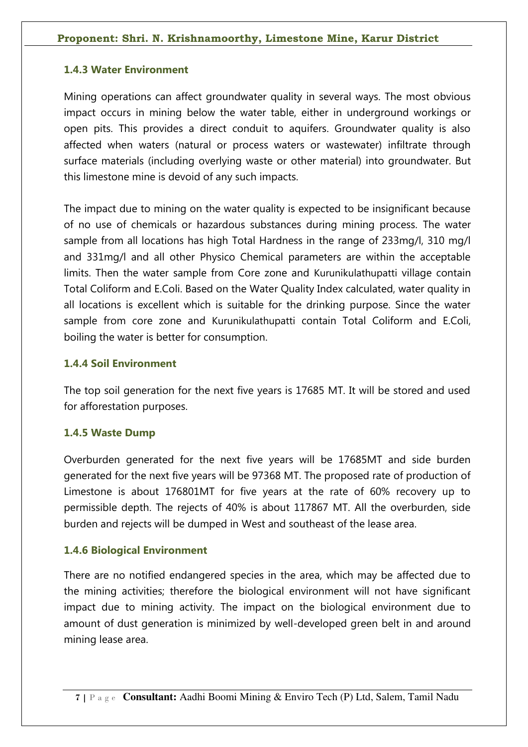# **1.4.3 Water Environment**

Mining operations can affect groundwater quality in several ways. The most obvious impact occurs in mining below the water table, either in underground workings or open pits. This provides a direct conduit to aquifers. Groundwater quality is also affected when waters (natural or process waters or wastewater) infiltrate through surface materials (including overlying waste or other material) into groundwater. But this limestone mine is devoid of any such impacts.

The impact due to mining on the water quality is expected to be insignificant because of no use of chemicals or hazardous substances during mining process. The water sample from all locations has high Total Hardness in the range of 233mg/l, 310 mg/l and 331mg/l and all other Physico Chemical parameters are within the acceptable limits. Then the water sample from Core zone and Kurunikulathupatti village contain Total Coliform and E.Coli. Based on the Water Quality Index calculated, water quality in all locations is excellent which is suitable for the drinking purpose. Since the water sample from core zone and Kurunikulathupatti contain Total Coliform and E.Coli, boiling the water is better for consumption.

# **1.4.4 Soil Environment**

The top soil generation for the next five years is 17685 MT. It will be stored and used for afforestation purposes.

# **1.4.5 Waste Dump**

Overburden generated for the next five years will be 17685MT and side burden generated for the next five years will be 97368 MT. The proposed rate of production of Limestone is about 176801MT for five years at the rate of 60% recovery up to permissible depth. The rejects of 40% is about 117867 MT. All the overburden, side burden and rejects will be dumped in West and southeast of the lease area.

# **1.4.6 Biological Environment**

There are no notified endangered species in the area, which may be affected due to the mining activities; therefore the biological environment will not have significant impact due to mining activity. The impact on the biological environment due to amount of dust generation is minimized by well-developed green belt in and around mining lease area.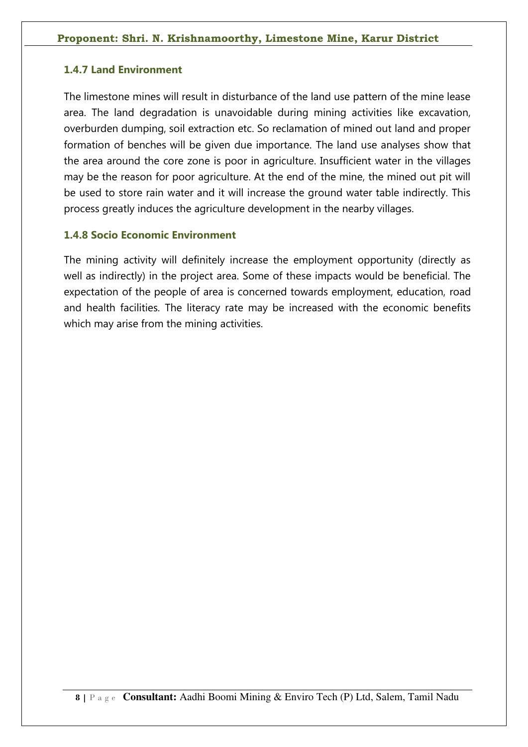#### **1.4.7 Land Environment**

The limestone mines will result in disturbance of the land use pattern of the mine lease area. The land degradation is unavoidable during mining activities like excavation, overburden dumping, soil extraction etc. So reclamation of mined out land and proper formation of benches will be given due importance. The land use analyses show that the area around the core zone is poor in agriculture. Insufficient water in the villages may be the reason for poor agriculture. At the end of the mine, the mined out pit will be used to store rain water and it will increase the ground water table indirectly. This process greatly induces the agriculture development in the nearby villages.

#### **1.4.8 Socio Economic Environment**

The mining activity will definitely increase the employment opportunity (directly as well as indirectly) in the project area. Some of these impacts would be beneficial. The expectation of the people of area is concerned towards employment, education, road and health facilities. The literacy rate may be increased with the economic benefits which may arise from the mining activities.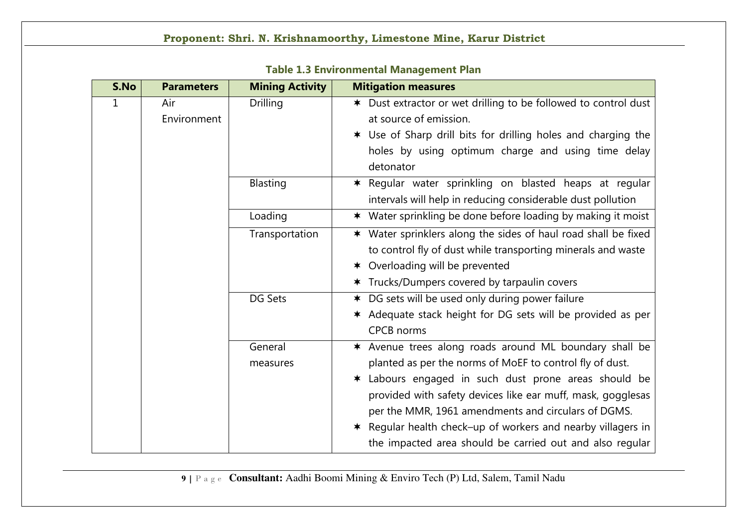| S.No | <b>Parameters</b> | <b>Mining Activity</b> | <b>Mitigation measures</b>                                      |
|------|-------------------|------------------------|-----------------------------------------------------------------|
| 1    | Air               | <b>Drilling</b>        | * Dust extractor or wet drilling to be followed to control dust |
|      | Environment       |                        | at source of emission.                                          |
|      |                   |                        | * Use of Sharp drill bits for drilling holes and charging the   |
|      |                   |                        | holes by using optimum charge and using time delay              |
|      |                   |                        | detonator                                                       |
|      |                   | Blasting               | * Regular water sprinkling on blasted heaps at regular          |
|      |                   |                        | intervals will help in reducing considerable dust pollution     |
|      |                   | Loading                | * Water sprinkling be done before loading by making it moist    |
|      |                   | Transportation         | * Water sprinklers along the sides of haul road shall be fixed  |
|      |                   |                        | to control fly of dust while transporting minerals and waste    |
|      |                   |                        | * Overloading will be prevented                                 |
|      |                   |                        | * Trucks/Dumpers covered by tarpaulin covers                    |
|      |                   | DG Sets                | * DG sets will be used only during power failure                |
|      |                   |                        | * Adequate stack height for DG sets will be provided as per     |
|      |                   |                        | <b>CPCB</b> norms                                               |
|      |                   | General                | * Avenue trees along roads around ML boundary shall be          |
|      |                   | measures               | planted as per the norms of MoEF to control fly of dust.        |
|      |                   |                        | * Labours engaged in such dust prone areas should be            |
|      |                   |                        | provided with safety devices like ear muff, mask, gogglesas     |
|      |                   |                        | per the MMR, 1961 amendments and circulars of DGMS.             |
|      |                   |                        | * Regular health check-up of workers and nearby villagers in    |
|      |                   |                        | the impacted area should be carried out and also regular        |

**Table 1.3 Environmental Management Plan**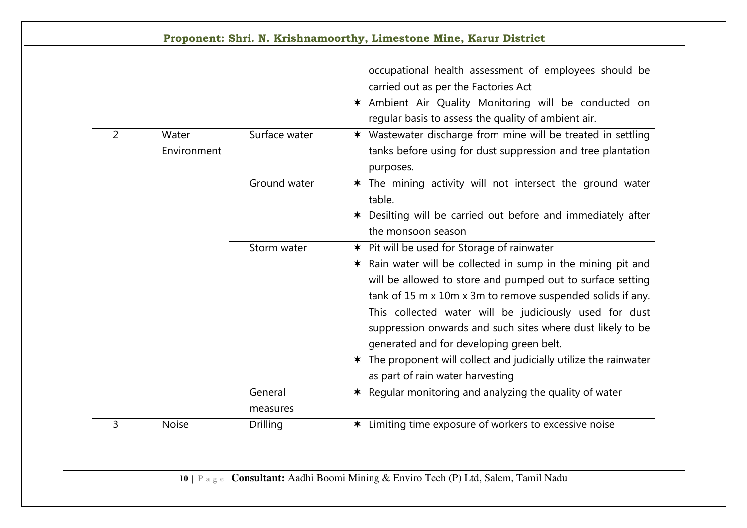|                |                      |                     | Proponent: Shri. N. Krishnamoorthy, Limestone Mine, Karur District                                                                                                                                                                                                                                                                                                                                                                                                                                                                      |
|----------------|----------------------|---------------------|-----------------------------------------------------------------------------------------------------------------------------------------------------------------------------------------------------------------------------------------------------------------------------------------------------------------------------------------------------------------------------------------------------------------------------------------------------------------------------------------------------------------------------------------|
|                |                      |                     | occupational health assessment of employees should be<br>carried out as per the Factories Act<br>* Ambient Air Quality Monitoring will be conducted on<br>regular basis to assess the quality of ambient air.                                                                                                                                                                                                                                                                                                                           |
| $\overline{2}$ | Water<br>Environment | Surface water       | * Wastewater discharge from mine will be treated in settling<br>tanks before using for dust suppression and tree plantation<br>purposes.                                                                                                                                                                                                                                                                                                                                                                                                |
|                |                      | Ground water        | * The mining activity will not intersect the ground water<br>table.<br>* Desilting will be carried out before and immediately after<br>the monsoon season                                                                                                                                                                                                                                                                                                                                                                               |
|                |                      | Storm water         | <b>★</b> Pit will be used for Storage of rainwater<br>Rain water will be collected in sump in the mining pit and<br>$\bigstar$<br>will be allowed to store and pumped out to surface setting<br>tank of 15 m x 10m x 3m to remove suspended solids if any.<br>This collected water will be judiciously used for dust<br>suppression onwards and such sites where dust likely to be<br>generated and for developing green belt.<br>* The proponent will collect and judicially utilize the rainwater<br>as part of rain water harvesting |
|                |                      | General<br>measures | * Regular monitoring and analyzing the quality of water                                                                                                                                                                                                                                                                                                                                                                                                                                                                                 |
| $\overline{3}$ | <b>Noise</b>         | <b>Drilling</b>     | * Limiting time exposure of workers to excessive noise                                                                                                                                                                                                                                                                                                                                                                                                                                                                                  |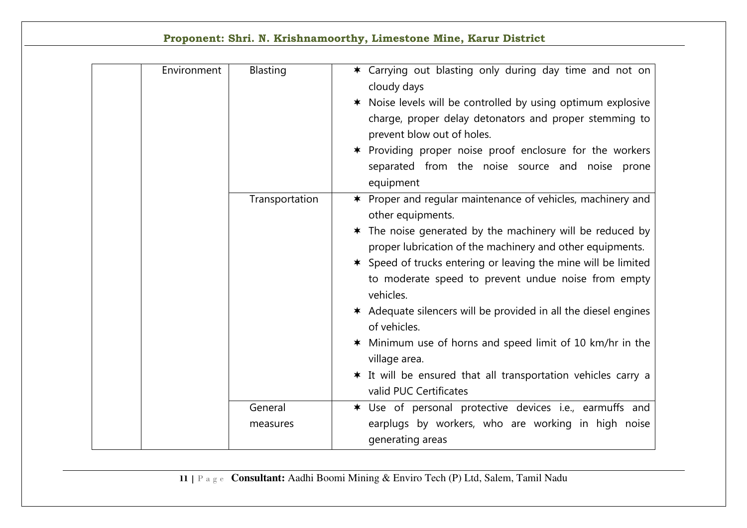| Environment | <b>Blasting</b>     | * Carrying out blasting only during day time and not on<br>cloudy days<br>* Noise levels will be controlled by using optimum explosive<br>charge, proper delay detonators and proper stemming to<br>prevent blow out of holes.<br>* Providing proper noise proof enclosure for the workers<br>separated from the noise source and noise prone<br>equipment                                                                                                                                                                                                                                                   |
|-------------|---------------------|--------------------------------------------------------------------------------------------------------------------------------------------------------------------------------------------------------------------------------------------------------------------------------------------------------------------------------------------------------------------------------------------------------------------------------------------------------------------------------------------------------------------------------------------------------------------------------------------------------------|
|             | Transportation      | * Proper and regular maintenance of vehicles, machinery and<br>other equipments.<br>* The noise generated by the machinery will be reduced by<br>proper lubrication of the machinery and other equipments.<br>* Speed of trucks entering or leaving the mine will be limited<br>to moderate speed to prevent undue noise from empty<br>vehicles.<br>* Adequate silencers will be provided in all the diesel engines<br>of vehicles.<br>* Minimum use of horns and speed limit of 10 km/hr in the<br>village area.<br>* It will be ensured that all transportation vehicles carry a<br>valid PUC Certificates |
|             | General<br>measures | * Use of personal protective devices i.e., earmuffs and<br>earplugs by workers, who are working in high noise<br>generating areas                                                                                                                                                                                                                                                                                                                                                                                                                                                                            |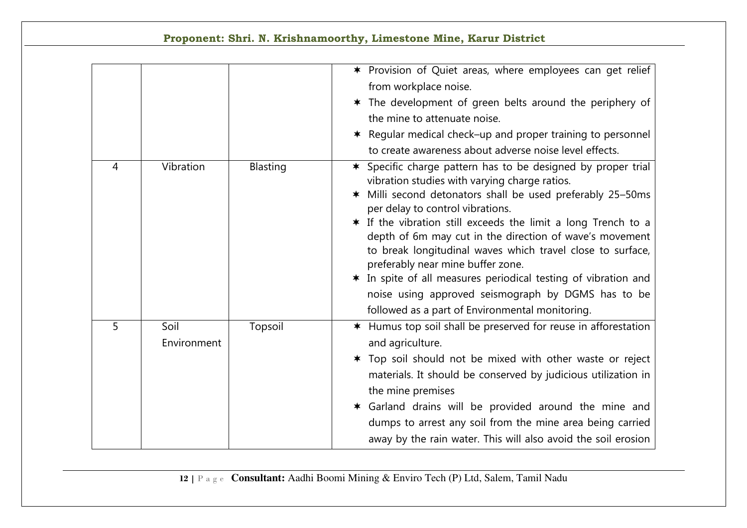|                |                     |                 | Proponent: Shri. N. Krishnamoorthy, Limestone Mine, Karur District                                                                                                                                                                                                                                                                                                                                                                                                                                                                                                                                                                |
|----------------|---------------------|-----------------|-----------------------------------------------------------------------------------------------------------------------------------------------------------------------------------------------------------------------------------------------------------------------------------------------------------------------------------------------------------------------------------------------------------------------------------------------------------------------------------------------------------------------------------------------------------------------------------------------------------------------------------|
|                |                     |                 | * Provision of Quiet areas, where employees can get relief<br>from workplace noise.<br>* The development of green belts around the periphery of<br>the mine to attenuate noise.<br>* Regular medical check–up and proper training to personnel<br>to create awareness about adverse noise level effects.                                                                                                                                                                                                                                                                                                                          |
| $\overline{4}$ | Vibration           | <b>Blasting</b> | * Specific charge pattern has to be designed by proper trial<br>vibration studies with varying charge ratios.<br>Milli second detonators shall be used preferably 25-50ms<br>$\ast$<br>per delay to control vibrations.<br>* If the vibration still exceeds the limit a long Trench to a<br>depth of 6m may cut in the direction of wave's movement<br>to break longitudinal waves which travel close to surface,<br>preferably near mine buffer zone.<br>* In spite of all measures periodical testing of vibration and<br>noise using approved seismograph by DGMS has to be<br>followed as a part of Environmental monitoring. |
| 5              | Soil<br>Environment | Topsoil         | * Humus top soil shall be preserved for reuse in afforestation<br>and agriculture.<br>* Top soil should not be mixed with other waste or reject<br>materials. It should be conserved by judicious utilization in<br>the mine premises<br>* Garland drains will be provided around the mine and<br>dumps to arrest any soil from the mine area being carried<br>away by the rain water. This will also avoid the soil erosion                                                                                                                                                                                                      |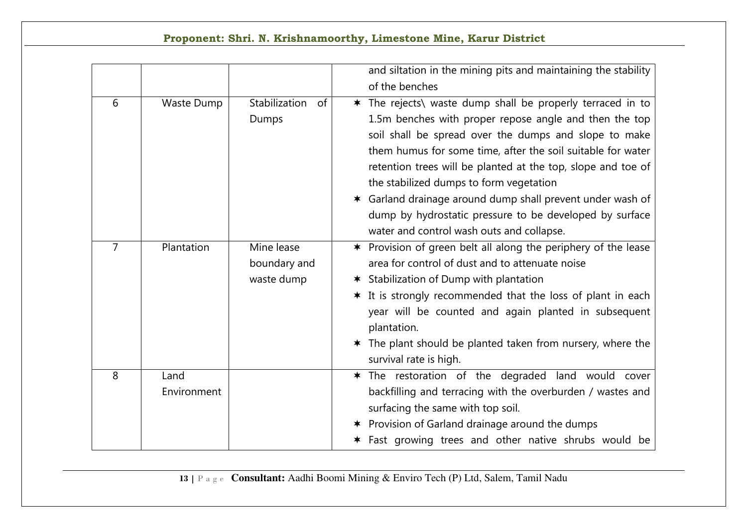|                |             |                     | and siltation in the mining pits and maintaining the stability |
|----------------|-------------|---------------------|----------------------------------------------------------------|
|                |             |                     | of the benches                                                 |
| 6              | Waste Dump  | Stabilization<br>0f | * The rejects\ waste dump shall be properly terraced in to     |
|                |             | Dumps               | 1.5m benches with proper repose angle and then the top         |
|                |             |                     | soil shall be spread over the dumps and slope to make          |
|                |             |                     | them humus for some time, after the soil suitable for water    |
|                |             |                     | retention trees will be planted at the top, slope and toe of   |
|                |             |                     | the stabilized dumps to form vegetation                        |
|                |             |                     | * Garland drainage around dump shall prevent under wash of     |
|                |             |                     | dump by hydrostatic pressure to be developed by surface        |
|                |             |                     | water and control wash outs and collapse.                      |
| $\overline{7}$ | Plantation  | Mine lease          | * Provision of green belt all along the periphery of the lease |
|                |             | boundary and        | area for control of dust and to attenuate noise                |
|                |             | waste dump          | <b>★ Stabilization of Dump with plantation</b>                 |
|                |             |                     | * It is strongly recommended that the loss of plant in each    |
|                |             |                     | year will be counted and again planted in subsequent           |
|                |             |                     | plantation.                                                    |
|                |             |                     | * The plant should be planted taken from nursery, where the    |
|                |             |                     | survival rate is high.                                         |
| 8              | Land        |                     | The restoration of the degraded land would cover<br>$\bigstar$ |
|                | Environment |                     | backfilling and terracing with the overburden / wastes and     |
|                |             |                     | surfacing the same with top soil.                              |
|                |             |                     | * Provision of Garland drainage around the dumps               |
|                |             |                     | * Fast growing trees and other native shrubs would be          |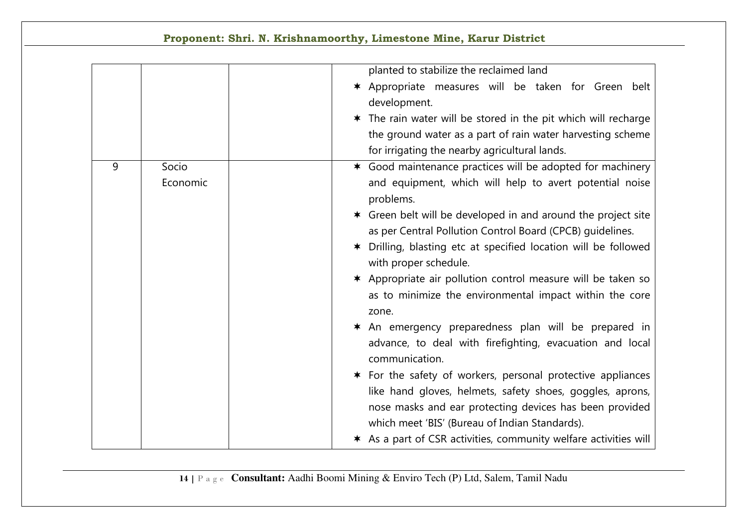|  |  | Proponent: Shri. N. Krishnamoorthy, Limestone Mine, Karur District |  |  |  |  |
|--|--|--------------------------------------------------------------------|--|--|--|--|
|--|--|--------------------------------------------------------------------|--|--|--|--|

|   |          | planted to stabilize the reclaimed land                                                                                            |
|---|----------|------------------------------------------------------------------------------------------------------------------------------------|
|   |          | * Appropriate measures will be taken for Green belt                                                                                |
|   |          | development.                                                                                                                       |
|   |          | * The rain water will be stored in the pit which will recharge                                                                     |
|   |          | the ground water as a part of rain water harvesting scheme                                                                         |
|   |          | for irrigating the nearby agricultural lands.                                                                                      |
| 9 | Socio    | * Good maintenance practices will be adopted for machinery                                                                         |
|   | Economic | and equipment, which will help to avert potential noise<br>problems.                                                               |
|   |          | * Green belt will be developed in and around the project site<br>as per Central Pollution Control Board (CPCB) quidelines.         |
|   |          | * Drilling, blasting etc at specified location will be followed<br>with proper schedule.                                           |
|   |          | * Appropriate air pollution control measure will be taken so<br>as to minimize the environmental impact within the core<br>zone.   |
|   |          | * An emergency preparedness plan will be prepared in<br>advance, to deal with firefighting, evacuation and local<br>communication. |
|   |          | * For the safety of workers, personal protective appliances                                                                        |
|   |          | like hand gloves, helmets, safety shoes, goggles, aprons,                                                                          |
|   |          | nose masks and ear protecting devices has been provided                                                                            |
|   |          | which meet 'BIS' (Bureau of Indian Standards).                                                                                     |
|   |          | * As a part of CSR activities, community welfare activities will                                                                   |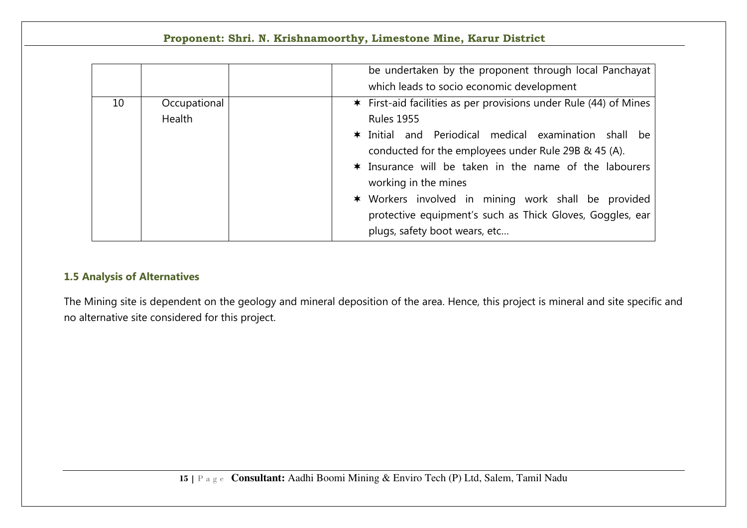|    |                               | be undertaken by the proponent through local Panchayat<br>which leads to socio economic development                                                                                                                                                                                                                                                                                                                                            |
|----|-------------------------------|------------------------------------------------------------------------------------------------------------------------------------------------------------------------------------------------------------------------------------------------------------------------------------------------------------------------------------------------------------------------------------------------------------------------------------------------|
| 10 | Occupational<br><b>Health</b> | * First-aid facilities as per provisions under Rule (44) of Mines<br><b>Rules 1955</b><br>* Initial and Periodical medical examination shall be<br>conducted for the employees under Rule 29B & 45 (A).<br>* Insurance will be taken in the name of the labourers<br>working in the mines<br>* Workers involved in mining work shall be provided<br>protective equipment's such as Thick Gloves, Goggles, ear<br>plugs, safety boot wears, etc |

# **1.5 Analysis of Alternatives**

The Mining site is dependent on the geology and mineral deposition of the area. Hence, this project is mineral and site specific and no alternative site considered for this project.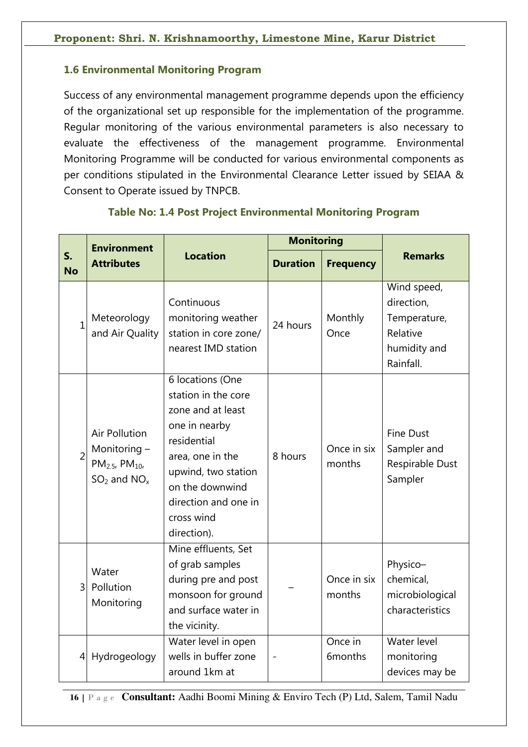# **1.6 Environmental Monitoring Program**

Success of any environmental management programme depends upon the efficiency of the organizational set up responsible for the implementation of the programme. Regular monitoring of the various environmental parameters is also necessary to evaluate the effectiveness of the management programme. Environmental Monitoring Programme will be conducted for various environmental components as per conditions stipulated in the Environmental Clearance Letter issued by SEIAA & Consent to Operate issued by TNPCB.

|                 | <b>Environment</b>                                                                       |                                                                                                                                                                                                                 | <b>Monitoring</b> |                                |                                                                                    |  |
|-----------------|------------------------------------------------------------------------------------------|-----------------------------------------------------------------------------------------------------------------------------------------------------------------------------------------------------------------|-------------------|--------------------------------|------------------------------------------------------------------------------------|--|
| S.<br><b>No</b> | <b>Attributes</b>                                                                        | <b>Location</b>                                                                                                                                                                                                 | <b>Duration</b>   | <b>Frequency</b>               | <b>Remarks</b>                                                                     |  |
| $\mathbf{1}$    | Meteorology<br>and Air Quality                                                           | Continuous<br>monitoring weather<br>station in core zone/<br>nearest IMD station                                                                                                                                | 24 hours          | Monthly<br>Once                | Wind speed,<br>direction,<br>Temperature,<br>Relative<br>humidity and<br>Rainfall. |  |
| $\overline{2}$  | <b>Air Pollution</b><br>Monitoring -<br>$PM_{2.5}$ , PM <sub>10</sub><br>$SO2$ and $NOx$ | 6 locations (One<br>station in the core<br>zone and at least<br>one in nearby<br>residential<br>area, one in the<br>upwind, two station<br>on the downwind<br>direction and one in<br>cross wind<br>direction). | 8 hours           | Once in six<br>months          | <b>Fine Dust</b><br>Sampler and<br>Respirable Dust<br>Sampler                      |  |
| $\mathsf{3}$    | Water<br>Pollution<br>Monitoring                                                         | Mine effluents, Set<br>of grab samples<br>during pre and post<br>monsoon for ground<br>and surface water in<br>the vicinity.                                                                                    |                   | Once in six<br>months          | Physico-<br>chemical,<br>microbiological<br>characteristics                        |  |
| $\vert 4 \vert$ | Hydrogeology                                                                             | Water level in open<br>wells in buffer zone<br>around 1km at                                                                                                                                                    |                   | Once in<br>6 <sub>months</sub> | Water level<br>monitoring<br>devices may be                                        |  |

#### **Table No: 1.4 Post Project Environmental Monitoring Program**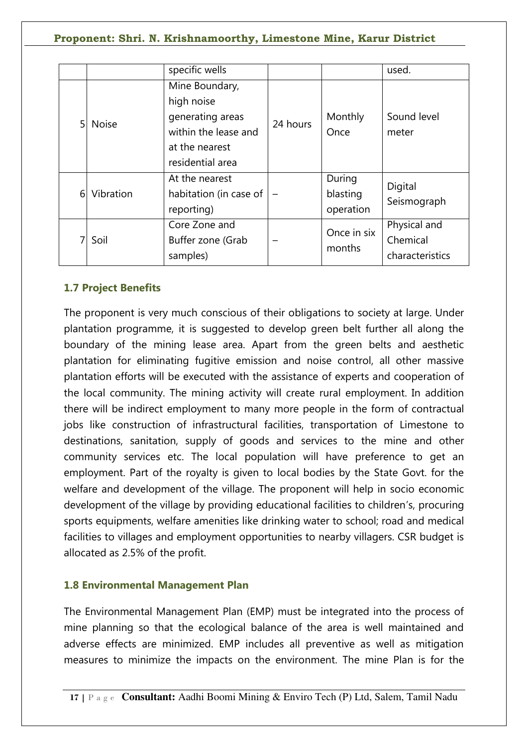|   |              | specific wells                                                                                                 |          |                                 | used.                                       |
|---|--------------|----------------------------------------------------------------------------------------------------------------|----------|---------------------------------|---------------------------------------------|
| 5 | <b>Noise</b> | Mine Boundary,<br>high noise<br>generating areas<br>within the lease and<br>at the nearest<br>residential area | 24 hours | Monthly<br>Once                 | Sound level<br>meter                        |
| 6 | Vibration    | At the nearest<br>habitation (in case of<br>reporting)                                                         |          | During<br>blasting<br>operation | Digital<br>Seismograph                      |
|   | Soil         | Core Zone and<br>Buffer zone (Grab<br>samples)                                                                 |          | Once in six<br>months           | Physical and<br>Chemical<br>characteristics |

# **1.7 Project Benefits**

The proponent is very much conscious of their obligations to society at large. Under plantation programme, it is suggested to develop green belt further all along the boundary of the mining lease area. Apart from the green belts and aesthetic plantation for eliminating fugitive emission and noise control, all other massive plantation efforts will be executed with the assistance of experts and cooperation of the local community. The mining activity will create rural employment. In addition there will be indirect employment to many more people in the form of contractual jobs like construction of infrastructural facilities, transportation of Limestone to destinations, sanitation, supply of goods and services to the mine and other community services etc. The local population will have preference to get an employment. Part of the royalty is given to local bodies by the State Govt. for the welfare and development of the village. The proponent will help in socio economic development of the village by providing educational facilities to children's, procuring sports equipments, welfare amenities like drinking water to school; road and medical facilities to villages and employment opportunities to nearby villagers. CSR budget is allocated as 2.5% of the profit.

# **1.8 Environmental Management Plan**

The Environmental Management Plan (EMP) must be integrated into the process of mine planning so that the ecological balance of the area is well maintained and adverse effects are minimized. EMP includes all preventive as well as mitigation measures to minimize the impacts on the environment. The mine Plan is for the